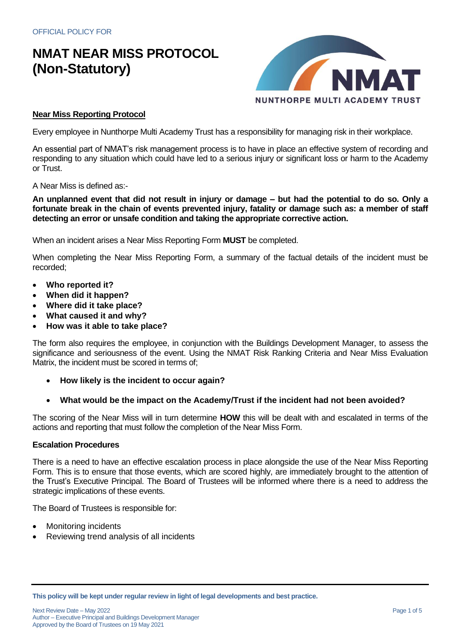

#### **Near Miss Reporting Protocol**

Every employee in Nunthorpe Multi Academy Trust has a responsibility for managing risk in their workplace.

An essential part of NMAT's risk management process is to have in place an effective system of recording and responding to any situation which could have led to a serious injury or significant loss or harm to the Academy or Trust.

A Near Miss is defined as:-

**An unplanned event that did not result in injury or damage – but had the potential to do so. Only a fortunate break in the chain of events prevented injury, fatality or damage such as: a member of staff detecting an error or unsafe condition and taking the appropriate corrective action.**

When an incident arises a Near Miss Reporting Form **MUST** be completed.

When completing the Near Miss Reporting Form, a summary of the factual details of the incident must be recorded;

- **Who reported it?**
- **When did it happen?**
- **Where did it take place?**
- **What caused it and why?**
- **How was it able to take place?**

The form also requires the employee, in conjunction with the Buildings Development Manager, to assess the significance and seriousness of the event. Using the NMAT Risk Ranking Criteria and Near Miss Evaluation Matrix, the incident must be scored in terms of;

- **How likely is the incident to occur again?**
- **What would be the impact on the Academy/Trust if the incident had not been avoided?**

The scoring of the Near Miss will in turn determine **HOW** this will be dealt with and escalated in terms of the actions and reporting that must follow the completion of the Near Miss Form.

#### **Escalation Procedures**

There is a need to have an effective escalation process in place alongside the use of the Near Miss Reporting Form. This is to ensure that those events, which are scored highly, are immediately brought to the attention of the Trust's Executive Principal. The Board of Trustees will be informed where there is a need to address the strategic implications of these events.

The Board of Trustees is responsible for:

- Monitoring incidents
- Reviewing trend analysis of all incidents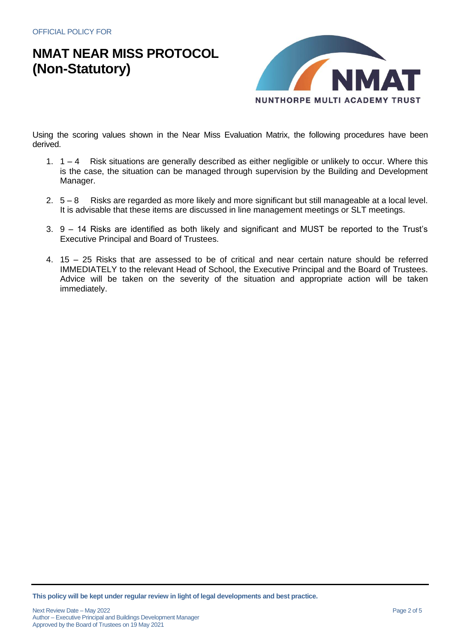

Using the scoring values shown in the Near Miss Evaluation Matrix, the following procedures have been derived.

- 1. 1 4 Risk situations are generally described as either negligible or unlikely to occur. Where this is the case, the situation can be managed through supervision by the Building and Development Manager.
- 2. 5 8 Risks are regarded as more likely and more significant but still manageable at a local level. It is advisable that these items are discussed in line management meetings or SLT meetings.
- 3. 9 14 Risks are identified as both likely and significant and MUST be reported to the Trust's Executive Principal and Board of Trustees.
- 4. 15 25 Risks that are assessed to be of critical and near certain nature should be referred IMMEDIATELY to the relevant Head of School, the Executive Principal and the Board of Trustees. Advice will be taken on the severity of the situation and appropriate action will be taken immediately.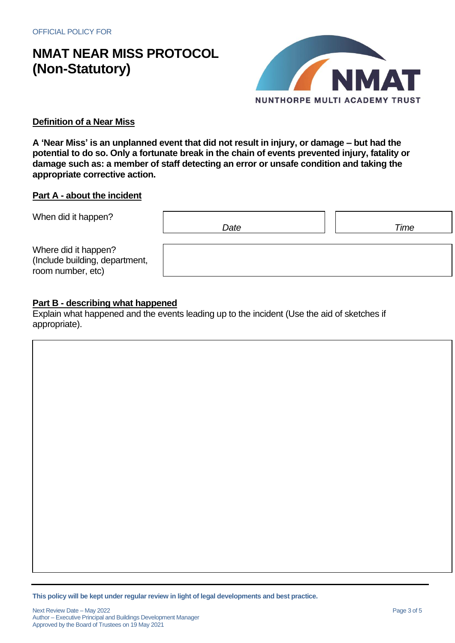

### **Definition of a Near Miss**

**A 'Near Miss' is an unplanned event that did not result in injury, or damage – but had the potential to do so. Only a fortunate break in the chain of events prevented injury, fatality or damage such as: a member of staff detecting an error or unsafe condition and taking the appropriate corrective action.**

### **Part A - about the incident**

| When did it happen?                                                         | Date | Time |
|-----------------------------------------------------------------------------|------|------|
| Where did it happen?<br>(Include building, department,<br>room number, etc) |      |      |

### **Part B - describing what happened**

Explain what happened and the events leading up to the incident (Use the aid of sketches if appropriate).

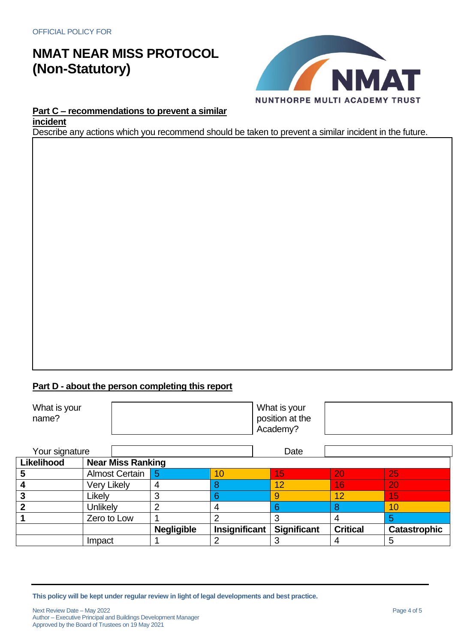

### **Part C – recommendations to prevent a similar incident**

Describe any actions which you recommend should be taken to prevent a similar incident in the future.

### **Part D - about the person completing this report**

| What is your<br>name? | What is your<br>position at the<br>Academy? |  |
|-----------------------|---------------------------------------------|--|
|                       |                                             |  |

| Your signature             |                       |                          |               | Date               |                 |                     |
|----------------------------|-----------------------|--------------------------|---------------|--------------------|-----------------|---------------------|
| Likelihood                 |                       | <b>Near Miss Ranking</b> |               |                    |                 |                     |
| 5                          | <b>Almost Certain</b> |                          | 10            | 15                 | 20              | 25                  |
|                            | <b>Very Likely</b>    |                          |               | 12                 | 16              | 20                  |
| 3                          | Likely                |                          |               | 9                  | 12              | 15                  |
| $\boldsymbol{\mathcal{P}}$ | Unlikely              |                          |               |                    |                 | 10                  |
|                            | Zero to Low           |                          |               |                    |                 |                     |
|                            |                       | <b>Negligible</b>        | Insignificant | <b>Significant</b> | <b>Critical</b> | <b>Catastrophic</b> |
|                            | Impact                |                          |               |                    |                 | 5                   |